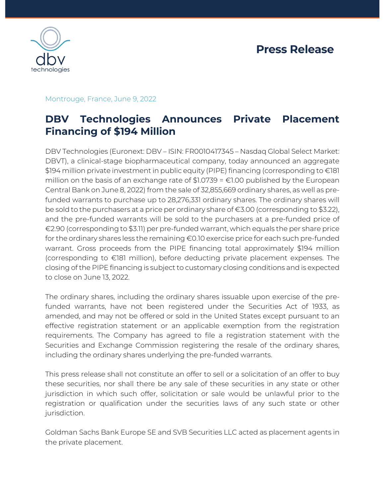

## Montrouge, France, June 9, 2022

# **DBV Technologies Announces Private Placement Financing of \$194 Million**

DBV Technologies (Euronext: DBV – ISIN: FR0010417345 – Nasdaq Global Select Market: DBVT), a clinical-stage biopharmaceutical company, today announced an aggregate \$194 million private investment in public equity (PIPE) financing (corresponding to €181 million on the basis of an exchange rate of  $$1.0739 = £1.00$  published by the European Central Bank on June 8, 2022) from the sale of 32,855,669 ordinary shares, as well as prefunded warrants to purchase up to 28,276,331 ordinary shares. The ordinary shares will be sold to the purchasers at a price per ordinary share of €3.00 (corresponding to \$3.22), and the pre-funded warrants will be sold to the purchasers at a pre-funded price of €2.90 (corresponding to \$3.11) per pre-funded warrant, which equals the per share price for the ordinary shares less the remaining €0.10 exercise price for each such pre-funded warrant. Gross proceeds from the PIPE financing total approximately \$194 million (corresponding to €181 million), before deducting private placement expenses. The closing of the PIPE financing is subject to customary closing conditions and is expected to close on June 13, 2022.

The ordinary shares, including the ordinary shares issuable upon exercise of the prefunded warrants, have not been registered under the Securities Act of 1933, as amended, and may not be offered or sold in the United States except pursuant to an effective registration statement or an applicable exemption from the registration requirements. The Company has agreed to file a registration statement with the Securities and Exchange Commission registering the resale of the ordinary shares, including the ordinary shares underlying the pre-funded warrants.

This press release shall not constitute an offer to sell or a solicitation of an offer to buy these securities, nor shall there be any sale of these securities in any state or other jurisdiction in which such offer, solicitation or sale would be unlawful prior to the registration or qualification under the securities laws of any such state or other jurisdiction.

Goldman Sachs Bank Europe SE and SVB Securities LLC acted as placement agents in the private placement.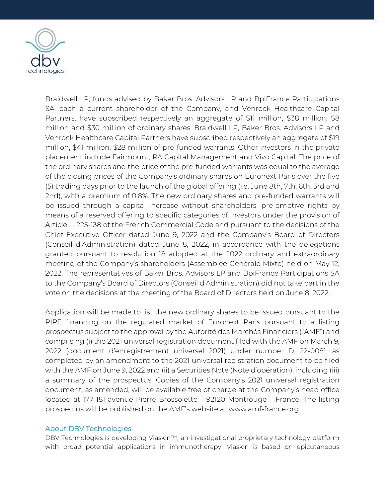

Braidwell LP, funds advised by Baker Bros. Advisors LP and BpiFrance Participations SA, each a current shareholder of the Company, and Venrock Healthcare Capital Partners, have subscribed respectively an aggregate of \$11 million, \$38 million, \$8 million and \$30 million of ordinary shares. Braidwell LP, Baker Bros. Advisors LP and Venrock Healthcare Capital Partners have subscribed respectively an aggregate of \$19 million, \$41 million, \$28 million of pre-funded warrants. Other investors in the private placement include Fairmount, RA Capital Management and Vivo Capital. The price of the ordinary shares and the price of the pre-funded warrants was equal to the average of the closing prices of the Company's ordinary shares on Euronext Paris over the five (5) trading days prior to the launch of the global offering (i.e. June 8th, 7th, 6th, 3rd and 2nd), with a premium of 0.8%. The new ordinary shares and pre-funded warrants will be issued through a capital increase without shareholders' pre-emptive rights by means of a reserved offering to specific categories of investors under the provision of Article L. 225-138 of the French Commercial Code and pursuant to the decisions of the Chief Executive Officer dated June 9, 2022 and the Company's Board of Directors (Conseil d'Administration) dated June 8, 2022, in accordance with the delegations granted pursuant to resolution 18 adopted at the 2022 ordinary and extraordinary meeting of the Company's shareholders (Assemblée Générale Mixte) held on May 12, 2022. The representatives of Baker Bros. Advisors LP and BpiFrance Participations SA to the Company's Board of Directors (Conseil d'Administration) did not take part in the vote on the decisions at the meeting of the Board of Directors held on June 8, 2022.

Application will be made to list the new ordinary shares to be issued pursuant to the PIPE financing on the regulated market of Euronext Paris pursuant to a listing prospectus subject to the approval by the Autorité des Marchés Financiers ("AMF") and comprising (i) the 2021 universal registration document filed with the AMF on March 9, 2022 (document d'enregistrement universel 2021) under number D. 22-0081, as completed by an amendment to the 2021 universal registration document to be filed with the AMF on June 9, 2022 and (ii) a Securities Note (Note d'opération), including (iii) a summary of the prospectus. Copies of the Company's 2021 universal registration document, as amended, will be available free of charge at the Company's head office located at 177-181 avenue Pierre Brossolette – 92120 Montrouge – France. The listing prospectus will be published on the AMF's website at www.amf-france.org.

#### About DBV Technologies

DBV Technologies is developing Viaskin™, an investigational proprietary technology platform with broad potential applications in immunotherapy. Viaskin is based on epicutaneous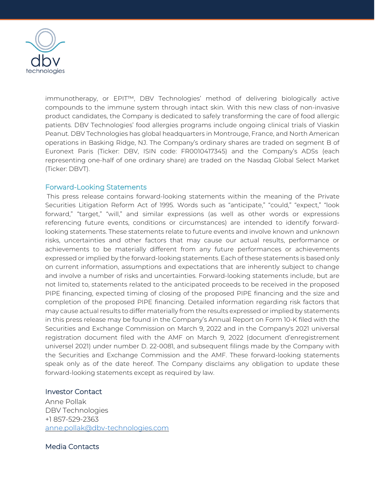

immunotherapy, or EPIT™, DBV Technologies' method of delivering biologically active compounds to the immune system through intact skin. With this new class of non-invasive product candidates, the Company is dedicated to safely transforming the care of food allergic patients. DBV Technologies' food allergies programs include ongoing clinical trials of Viaskin Peanut. DBV Technologies has global headquarters in Montrouge, France, and North American operations in Basking Ridge, NJ. The Company's ordinary shares are traded on segment B of Euronext Paris (Ticker: DBV, ISIN code: FR0010417345) and the Company's ADSs (each representing one-half of one ordinary share) are traded on the Nasdaq Global Select Market (Ticker: DBVT).

#### Forward-Looking Statements

This press release contains forward-looking statements within the meaning of the Private Securities Litigation Reform Act of 1995. Words such as "anticipate," "could," "expect," "look forward," "target," "will," and similar expressions (as well as other words or expressions referencing future events, conditions or circumstances) are intended to identify forwardlooking statements. These statements relate to future events and involve known and unknown risks, uncertainties and other factors that may cause our actual results, performance or achievements to be materially different from any future performances or achievements expressed or implied by the forward-looking statements. Each of these statements is based only on current information, assumptions and expectations that are inherently subject to change and involve a number of risks and uncertainties. Forward-looking statements include, but are not limited to, statements related to the anticipated proceeds to be received in the proposed PIPE financing, expected timing of closing of the proposed PIPE financing and the size and completion of the proposed PIPE financing. Detailed information regarding risk factors that may cause actual results to differ materially from the results expressed or implied by statements in this press release may be found in the Company's Annual Report on Form 10-K filed with the Securities and Exchange Commission on March 9, 2022 and in the Company's 2021 universal registration document filed with the AMF on March 9, 2022 (document d'enregistrement universel 2021) under number D. 22-0081, and subsequent filings made by the Company with the Securities and Exchange Commission and the AMF. These forward-looking statements speak only as of the date hereof. The Company disclaims any obligation to update these forward-looking statements except as required by law.

#### Investor Contact

Anne Pollak DBV Technologies +1 857-529-2363 [anne.pollak@dbv-technologies.com](mailto:anne.pollak@dbv-technologies.com)

### Media Contacts